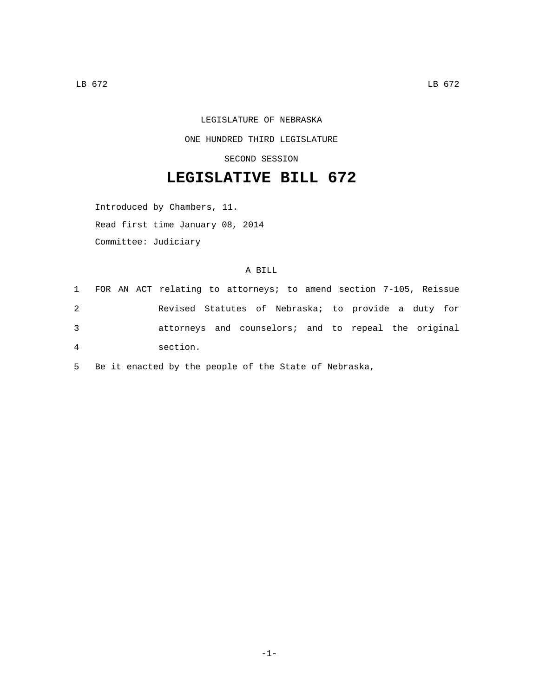## LEGISLATURE OF NEBRASKA ONE HUNDRED THIRD LEGISLATURE

SECOND SESSION

## **LEGISLATIVE BILL 672**

Introduced by Chambers, 11. Read first time January 08, 2014

Committee: Judiciary

## A BILL

|                |  | 1 FOR AN ACT relating to attorneys; to amend section 7-105, Reissue |  |  |  |  |  |
|----------------|--|---------------------------------------------------------------------|--|--|--|--|--|
| 2              |  | Revised Statutes of Nebraska; to provide a duty for                 |  |  |  |  |  |
| 3              |  | attorneys and counselors; and to repeal the original                |  |  |  |  |  |
| $\overline{4}$ |  | section.                                                            |  |  |  |  |  |

5 Be it enacted by the people of the State of Nebraska,